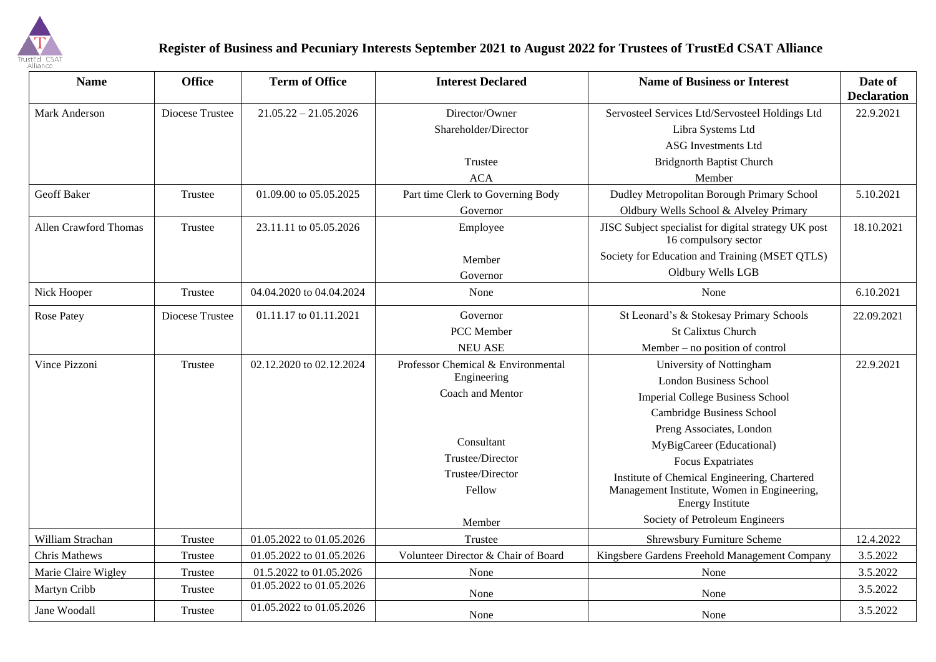

## **Register of Business and Pecuniary Interests September 2021 to August 2022 for Trustees of TrustEd CSAT Alliance**

| <b>Name</b>           | <b>Office</b>   | <b>Term of Office</b>    | <b>Interest Declared</b>            | <b>Name of Business or Interest</b>                                          | Date of<br><b>Declaration</b> |
|-----------------------|-----------------|--------------------------|-------------------------------------|------------------------------------------------------------------------------|-------------------------------|
| Mark Anderson         | Diocese Trustee | $21.05.22 - 21.05.2026$  | Director/Owner                      | Servosteel Services Ltd/Servosteel Holdings Ltd                              | 22.9.2021                     |
|                       |                 |                          | Shareholder/Director                | Libra Systems Ltd                                                            |                               |
|                       |                 |                          |                                     | <b>ASG</b> Investments Ltd                                                   |                               |
|                       |                 |                          | Trustee                             | <b>Bridgnorth Baptist Church</b>                                             |                               |
|                       |                 |                          | <b>ACA</b>                          | Member                                                                       |                               |
| <b>Geoff Baker</b>    | Trustee         | 01.09.00 to 05.05.2025   | Part time Clerk to Governing Body   | Dudley Metropolitan Borough Primary School                                   | 5.10.2021                     |
|                       |                 |                          | Governor                            | Oldbury Wells School & Alveley Primary                                       |                               |
| Allen Crawford Thomas | Trustee         | 23.11.11 to 05.05.2026   | Employee                            | JISC Subject specialist for digital strategy UK post<br>16 compulsory sector | 18.10.2021                    |
|                       |                 |                          | Member                              | Society for Education and Training (MSET QTLS)<br>Oldbury Wells LGB          |                               |
|                       |                 |                          | Governor                            |                                                                              |                               |
| Nick Hooper           | Trustee         | 04.04.2020 to 04.04.2024 | None                                | None                                                                         | 6.10.2021                     |
| <b>Rose Patey</b>     | Diocese Trustee | 01.11.17 to 01.11.2021   | Governor                            | St Leonard's & Stokesay Primary Schools                                      | 22.09.2021                    |
|                       |                 |                          | PCC Member                          | <b>St Calixtus Church</b>                                                    |                               |
|                       |                 |                          | <b>NEU ASE</b>                      | Member – no position of control                                              |                               |
| Vince Pizzoni         | Trustee         | 02.12.2020 to 02.12.2024 | Professor Chemical & Environmental  | University of Nottingham                                                     | 22.9.2021                     |
|                       |                 |                          | Engineering                         | <b>London Business School</b>                                                |                               |
|                       |                 |                          | Coach and Mentor                    | <b>Imperial College Business School</b>                                      |                               |
|                       |                 |                          |                                     | Cambridge Business School                                                    |                               |
|                       |                 |                          |                                     | Preng Associates, London                                                     |                               |
|                       |                 |                          | Consultant                          | MyBigCareer (Educational)                                                    |                               |
|                       |                 |                          | Trustee/Director                    | <b>Focus Expatriates</b>                                                     |                               |
|                       |                 |                          | Trustee/Director                    | Institute of Chemical Engineering, Chartered                                 |                               |
|                       |                 |                          | Fellow                              | Management Institute, Women in Engineering,<br><b>Energy Institute</b>       |                               |
|                       |                 |                          | Member                              | Society of Petroleum Engineers                                               |                               |
| William Strachan      | Trustee         | 01.05.2022 to 01.05.2026 | Trustee                             | <b>Shrewsbury Furniture Scheme</b>                                           | 12.4.2022                     |
| Chris Mathews         | Trustee         | 01.05.2022 to 01.05.2026 | Volunteer Director & Chair of Board | Kingsbere Gardens Freehold Management Company                                | 3.5.2022                      |
| Marie Claire Wigley   | Trustee         | 01.5.2022 to 01.05.2026  | None                                | None                                                                         | 3.5.2022                      |
| Martyn Cribb          | Trustee         | 01.05.2022 to 01.05.2026 | None                                | None                                                                         | 3.5.2022                      |
| Jane Woodall          | Trustee         | 01.05.2022 to 01.05.2026 | None                                | None                                                                         | 3.5.2022                      |